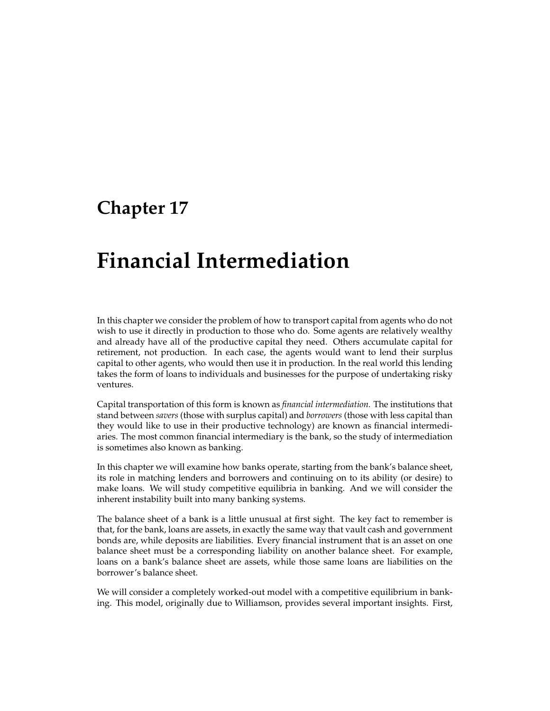# **Chapter 17**

# **Financial Intermediation**

In this chapter we consider the problem of how to transport capital from agents who do not wish to use it directly in production to those who do. Some agents are relatively wealthy and already have all of the productive capital they need. Others accumulate capital for retirement, not production. In each case, the agents would want to lend their surplus capital to other agents, who would then use it in production. In the real world this lending takes the form of loans to individuals and businesses for the purpose of undertaking risky ventures.

Capital transportation of this form is known as *financial intermediation.* The institutions that stand between *savers* (those with surplus capital) and *borrowers* (those with less capital than they would like to use in their productive technology) are known as financial intermediaries. The most common financial intermediary is the bank, so the study of intermediation is sometimes also known as banking.

In this chapter we will examine how banks operate, starting from the bank's balance sheet, its role in matching lenders and borrowers and continuing on to its ability (or desire) to make loans. We will study competitive equilibria in banking. And we will consider the inherent instability built into many banking systems.

The balance sheet of a bank is a little unusual at first sight. The key fact to remember is that, for the bank, loans are assets, in exactly the same way that vault cash and government bonds are, while deposits are liabilities. Every financial instrument that is an asset on one balance sheet must be a corresponding liability on another balance sheet. For example, loans on a bank's balance sheet are assets, while those same loans are liabilities on the borrower's balance sheet.

We will consider a completely worked-out model with a competitive equilibrium in banking. This model, originally due to Williamson, provides several important insights. First,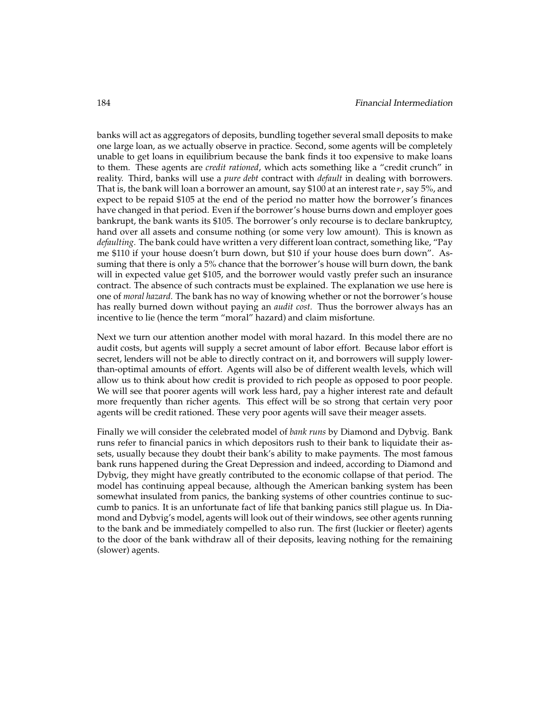banks will act as aggregators of deposits, bundling together several small deposits to make one large loan, as we actually observe in practice. Second, some agents will be completely unable to get loans in equilibrium because the bank finds it too expensive to make loans to them. These agents are *credit rationed*, which acts something like a "credit crunch" in reality. Third, banks will use a *pure debt* contract with *default* in dealing with borrowers. That is, the bank will loan a borrower an amount, say \$100 at an interest rate  $r$ , say 5%, and expect to be repaid \$105 at the end of the period no matter how the borrower's finances have changed in that period. Even if the borrower's house burns down and employer goes bankrupt, the bank wants its \$105. The borrower's only recourse is to declare bankruptcy, hand over all assets and consume nothing (or some very low amount). This is known as *defaulting.* The bank could have written a very different loan contract, something like, "Pay me \$110 if your house doesn't burn down, but \$10 if your house does burn down". Assuming that there is only a 5% chance that the borrower's house will burn down, the bank will in expected value get \$105, and the borrower would vastly prefer such an insurance contract. The absence of such contracts must be explained. The explanation we use here is one of *moral hazard.* The bank has no way of knowing whether or not the borrower's house has really burned down without paying an *audit cost.* Thus the borrower always has an incentive to lie (hence the term "moral" hazard) and claim misfortune.

Next we turn our attention another model with moral hazard. In this model there are no audit costs, but agents will supply a secret amount of labor effort. Because labor effort is secret, lenders will not be able to directly contract on it, and borrowers will supply lowerthan-optimal amounts of effort. Agents will also be of different wealth levels, which will allow us to think about how credit is provided to rich people as opposed to poor people. We will see that poorer agents will work less hard, pay a higher interest rate and default more frequently than richer agents. This effect will be so strong that certain very poor agents will be credit rationed. These very poor agents will save their meager assets.

Finally we will consider the celebrated model of *bank runs* by Diamond and Dybvig. Bank runs refer to financial panics in which depositors rush to their bank to liquidate their assets, usually because they doubt their bank's ability to make payments. The most famous bank runs happened during the Great Depression and indeed, according to Diamond and Dybvig, they might have greatly contributed to the economic collapse of that period. The model has continuing appeal because, although the American banking system has been somewhat insulated from panics, the banking systems of other countries continue to succumb to panics. It is an unfortunate fact of life that banking panics still plague us. In Diamond and Dybvig's model, agents will look out of their windows, see other agents running to the bank and be immediately compelled to also run. The first (luckier or fleeter) agents to the door of the bank withdraw all of their deposits, leaving nothing for the remaining (slower) agents.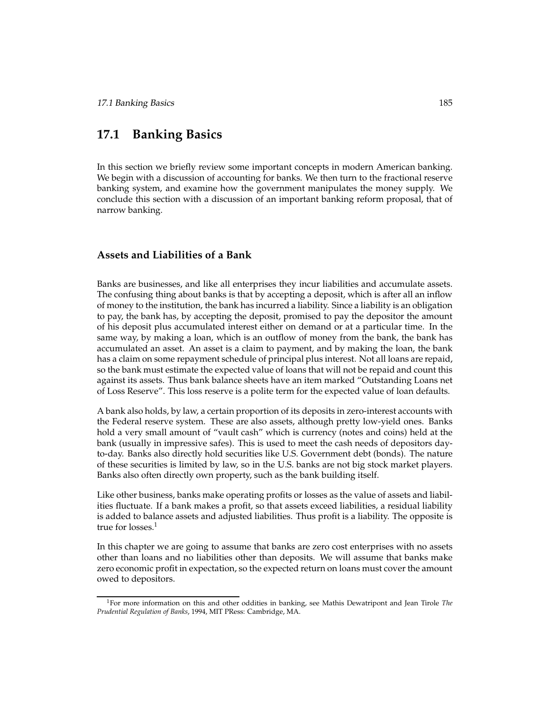# **17.1 Banking Basics**

In this section we briefly review some important concepts in modern American banking. We begin with a discussion of accounting for banks. We then turn to the fractional reserve banking system, and examine how the government manipulates the money supply. We conclude this section with a discussion of an important banking reform proposal, that of narrow banking.

#### **Assets and Liabilities of a Bank**

Banks are businesses, and like all enterprises they incur liabilities and accumulate assets. The confusing thing about banks is that by accepting a deposit, which is after all an inflow of money to the institution, the bank has incurred a liability. Since a liability is an obligation to pay, the bank has, by accepting the deposit, promised to pay the depositor the amount of his deposit plus accumulated interest either on demand or at a particular time. In the same way, by making a loan, which is an outflow of money from the bank, the bank has accumulated an asset. An asset is a claim to payment, and by making the loan, the bank has a claim on some repayment schedule of principal plus interest. Not all loans are repaid, so the bank must estimate the expected value of loans that will not be repaid and count this against its assets. Thus bank balance sheets have an item marked "Outstanding Loans net of Loss Reserve". This loss reserve is a polite term for the expected value of loan defaults.

A bank also holds, by law, a certain proportion of its deposits in zero-interest accounts with the Federal reserve system. These are also assets, although pretty low-yield ones. Banks hold a very small amount of "vault cash" which is currency (notes and coins) held at the bank (usually in impressive safes). This is used to meet the cash needs of depositors dayto-day. Banks also directly hold securities like U.S. Government debt (bonds). The nature of these securities is limited by law, so in the U.S. banks are not big stock market players. Banks also often directly own property, such as the bank building itself.

Like other business, banks make operating profits or losses as the value of assets and liabilities fluctuate. If a bank makes a profit, so that assets exceed liabilities, a residual liability is added to balance assets and adjusted liabilities. Thus profit is a liability. The opposite is true for losses.<sup>1</sup>

In this chapter we are going to assume that banks are zero cost enterprises with no assets other than loans and no liabilities other than deposits. We will assume that banks make zero economic profit in expectation, so the expected return on loans must cover the amount owed to depositors.

<sup>1</sup>For more information on this and other oddities in banking, see Mathis Dewatripont and Jean Tirole *The Prudential Regulation of Banks*, 1994, MIT PRess: Cambridge, MA.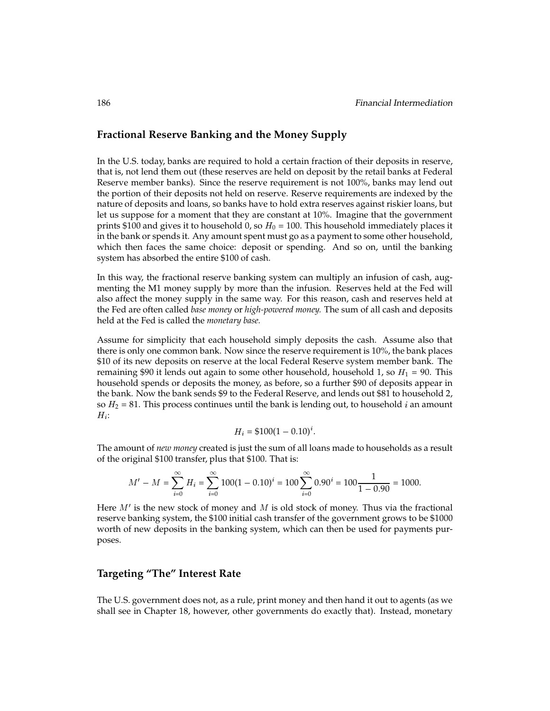#### **Fractional Reserve Banking and the Money Supply**

In the U.S. today, banks are required to hold a certain fraction of their deposits in reserve, that is, not lend them out (these reserves are held on deposit by the retail banks at Federal Reserve member banks). Since the reserve requirement is not 100%, banks may lend out the portion of their deposits not held on reserve. Reserve requirements are indexed by the nature of deposits and loans, so banks have to hold extra reserves against riskier loans, but let us suppose for a moment that they are constant at 10%. Imagine that the government prints \$100 and gives it to household 0, so  $H_0 = 100$ . This household immediately places it in the bank or spends it. Any amount spent must go as a payment to some other household, which then faces the same choice: deposit or spending. And so on, until the banking system has absorbed the entire \$100 of cash.

In this way, the fractional reserve banking system can multiply an infusion of cash, augmenting the M1 money supply by more than the infusion. Reserves held at the Fed will also affect the money supply in the same way. For this reason, cash and reserves held at the Fed are often called *base money* or *high-powered money.* The sum of all cash and deposits held at the Fed is called the *monetary base.*

Assume for simplicity that each household simply deposits the cash. Assume also that there is only one common bank. Now since the reserve requirement is 10%, the bank places \$10 of its new deposits on reserve at the local Federal Reserve system member bank. The remaining \$90 it lends out again to some other household, household 1, so  $H_1 = 90$ . This household spends or deposits the money, as before, so a further \$90 of deposits appear in the bank. Now the bank sends \$9 to the Federal Reserve, and lends out \$81 to household 2, so  $H_2 = 81$ . This process continues until the bank is lending out, to household *i* an amount  $H_i$ :

$$
H_i = \$100(1-0.10)^i
$$

The amount of *new money* created is just the sum of all loans made to households as a result of the original \$100 transfer, plus that \$100. That is:

$$
M' - M = \sum_{i=0}^{\infty} H_i = \sum_{i=0}^{\infty} 100(1 - 0.10)^i = 100 \sum_{i=0}^{\infty} 0.90^i = 100 \frac{1}{1 - 0.90} = 1000.
$$

Here  $M'$  is the new stock of money and  $M$  is old stock of money. Thus via the fractional reserve banking system, the \$100 initial cash transfer of the government grows to be \$1000 worth of new deposits in the banking system, which can then be used for payments purposes.

# **Targeting "The" Interest Rate**

The U.S. government does not, as a rule, print money and then hand it out to agents (as we shall see in Chapter 18, however, other governments do exactly that). Instead, monetary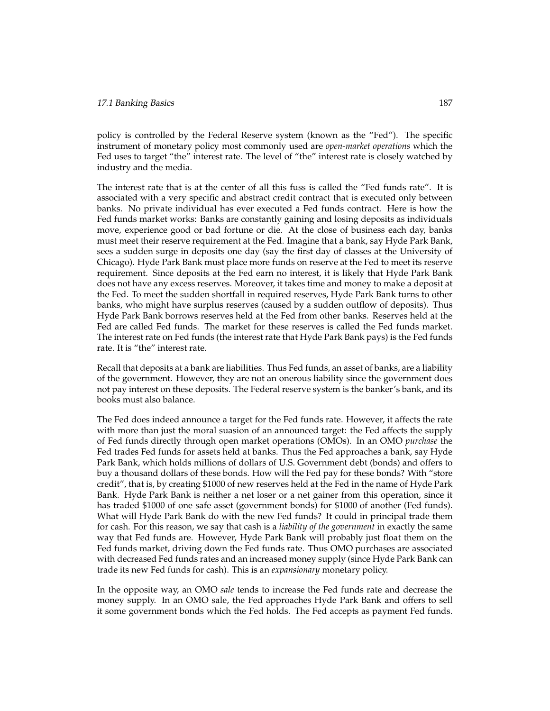policy is controlled by the Federal Reserve system (known as the "Fed"). The specific instrument of monetary policy most commonly used are *open-market operations* which the Fed uses to target "the" interest rate. The level of "the" interest rate is closely watched by industry and the media.

The interest rate that is at the center of all this fuss is called the "Fed funds rate". It is associated with a very specific and abstract credit contract that is executed only between banks. No private individual has ever executed a Fed funds contract. Here is how the Fed funds market works: Banks are constantly gaining and losing deposits as individuals move, experience good or bad fortune or die. At the close of business each day, banks must meet their reserve requirement at the Fed. Imagine that a bank, say Hyde Park Bank, sees a sudden surge in deposits one day (say the first day of classes at the University of Chicago). Hyde Park Bank must place more funds on reserve at the Fed to meet its reserve requirement. Since deposits at the Fed earn no interest, it is likely that Hyde Park Bank does not have any excess reserves. Moreover, it takes time and money to make a deposit at the Fed. To meet the sudden shortfall in required reserves, Hyde Park Bank turns to other banks, who might have surplus reserves (caused by a sudden outflow of deposits). Thus Hyde Park Bank borrows reserves held at the Fed from other banks. Reserves held at the Fed are called Fed funds. The market for these reserves is called the Fed funds market. The interest rate on Fed funds (the interest rate that Hyde Park Bank pays) is the Fed funds rate. It is "the" interest rate.

Recall that deposits at a bank are liabilities. Thus Fed funds, an asset of banks, are a liability of the government. However, they are not an onerous liability since the government does not pay interest on these deposits. The Federal reserve system is the banker's bank, and its books must also balance.

The Fed does indeed announce a target for the Fed funds rate. However, it affects the rate with more than just the moral suasion of an announced target: the Fed affects the supply of Fed funds directly through open market operations (OMOs). In an OMO *purchase* the Fed trades Fed funds for assets held at banks. Thus the Fed approaches a bank, say Hyde Park Bank, which holds millions of dollars of U.S. Government debt (bonds) and offers to buy a thousand dollars of these bonds. How will the Fed pay for these bonds? With "store credit", that is, by creating \$1000 of new reserves held at the Fed in the name of Hyde Park Bank. Hyde Park Bank is neither a net loser or a net gainer from this operation, since it has traded \$1000 of one safe asset (government bonds) for \$1000 of another (Fed funds). What will Hyde Park Bank do with the new Fed funds? It could in principal trade them for cash. For this reason, we say that cash is a *liability of the government* in exactly the same way that Fed funds are. However, Hyde Park Bank will probably just float them on the Fed funds market, driving down the Fed funds rate. Thus OMO purchases are associated with decreased Fed funds rates and an increased money supply (since Hyde Park Bank can trade its new Fed funds for cash). This is an *expansionary* monetary policy.

In the opposite way, an OMO *sale* tends to increase the Fed funds rate and decrease the money supply. In an OMO sale, the Fed approaches Hyde Park Bank and offers to sell it some government bonds which the Fed holds. The Fed accepts as payment Fed funds.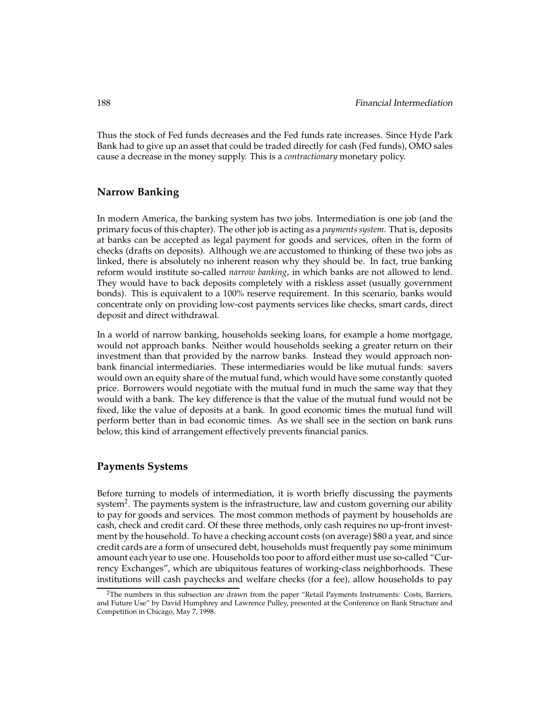Thus the stock of Fed funds decreases and the Fed funds rate increases. Since Hyde Park Bank had to give up an asset that could be traded directly for cash (Fed funds), OMO sales cause a decrease in the money supply. This is a *contractionary* monetary policy.

### **Narrow Banking**

In modern America, the banking system has two jobs. Intermediation is one job (and the primary focus of this chapter). The other job is acting as a *payments system.* That is, deposits at banks can be accepted as legal payment for goods and services, often in the form of checks (drafts on deposits). Although we are accustomed to thinking of these two jobs as linked, there is absolutely no inherent reason why they should be. In fact, true banking reform would institute so-called *narrow banking*, in which banks are not allowed to lend. They would have to back deposits completely with a riskless asset (usually government bonds). This is equivalent to a 100% reserve requirement. In this scenario, banks would concentrate only on providing low-cost payments services like checks, smart cards, direct deposit and direct withdrawal.

In a world of narrow banking, households seeking loans, for example a home mortgage, would not approach banks. Neither would households seeking a greater return on their investment than that provided by the narrow banks. Instead they would approach nonbank financial intermediaries. These intermediaries would be like mutual funds: savers would own an equity share of the mutual fund, which would have some constantly quoted price. Borrowers would negotiate with the mutual fund in much the same way that they would with a bank. The key difference is that the value of the mutual fund would not be fixed, like the value of deposits at a bank. In good economic times the mutual fund will perform better than in bad economic times. As we shall see in the section on bank runs below, this kind of arrangement effectively prevents financial panics.

#### **Payments Systems**

Before turning to models of intermediation, it is worth briefly discussing the payments system<sup>2</sup>. The payments system is the infrastructure, law and custom governing our ability to pay for goods and services. The most common methods of payment by households are cash, check and credit card. Of these three methods, only cash requires no up-front investment by the household. To have a checking account costs (on average) \$80 a year, and since credit cards are a form of unsecured debt, households must frequently pay some minimum amount each year to use one. Households too poor to afford either must use so-called "Currency Exchanges", which are ubiquitous features of working-class neighborhoods. These institutions will cash paychecks and welfare checks (for a fee), allow households to pay

<sup>&</sup>lt;sup>2</sup>The numbers in this subsection are drawn from the paper "Retail Payments Instruments: Costs, Barriers, and Future Use" by David Humphrey and Lawrence Pulley, presented at the Conference on Bank Structure and Competition in Chicago, May 7, 1998.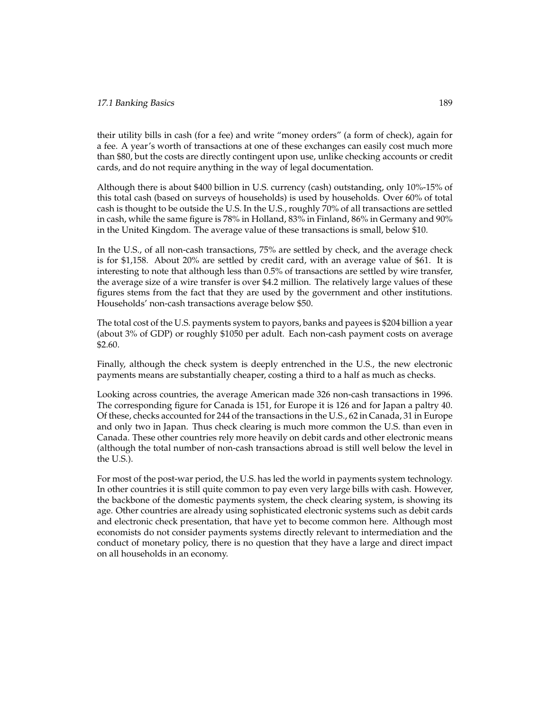their utility bills in cash (for a fee) and write "money orders" (a form of check), again for a fee. A year's worth of transactions at one of these exchanges can easily cost much more than \$80, but the costs are directly contingent upon use, unlike checking accounts or credit cards, and do not require anything in the way of legal documentation.

Although there is about \$400 billion in U.S. currency (cash) outstanding, only 10%-15% of this total cash (based on surveys of households) is used by households. Over 60% of total cash is thought to be outside the U.S. In the U.S., roughly 70% of all transactions are settled in cash, while the same figure is 78% in Holland, 83% in Finland, 86% in Germany and 90% in the United Kingdom. The average value of these transactions is small, below \$10.

In the U.S., of all non-cash transactions, 75% are settled by check, and the average check is for \$1,158. About 20% are settled by credit card, with an average value of \$61. It is interesting to note that although less than 0.5% of transactions are settled by wire transfer, the average size of a wire transfer is over \$4.2 million. The relatively large values of these figures stems from the fact that they are used by the government and other institutions. Households' non-cash transactions average below \$50.

The total cost of the U.S. payments system to payors, banks and payees is \$204 billion a year (about 3% of GDP) or roughly \$1050 per adult. Each non-cash payment costs on average \$2.60.

Finally, although the check system is deeply entrenched in the U.S., the new electronic payments means are substantially cheaper, costing a third to a half as much as checks.

Looking across countries, the average American made 326 non-cash transactions in 1996. The corresponding figure for Canada is 151, for Europe it is 126 and for Japan a paltry 40. Of these, checks accounted for 244 of the transactions in the U.S., 62 in Canada, 31 in Europe and only two in Japan. Thus check clearing is much more common the U.S. than even in Canada. These other countries rely more heavily on debit cards and other electronic means (although the total number of non-cash transactions abroad is still well below the level in the U.S.).

For most of the post-war period, the U.S. has led the world in payments system technology. In other countries it is still quite common to pay even very large bills with cash. However, the backbone of the domestic payments system, the check clearing system, is showing its age. Other countries are already using sophisticated electronic systems such as debit cards and electronic check presentation, that have yet to become common here. Although most economists do not consider payments systems directly relevant to intermediation and the conduct of monetary policy, there is no question that they have a large and direct impact on all households in an economy.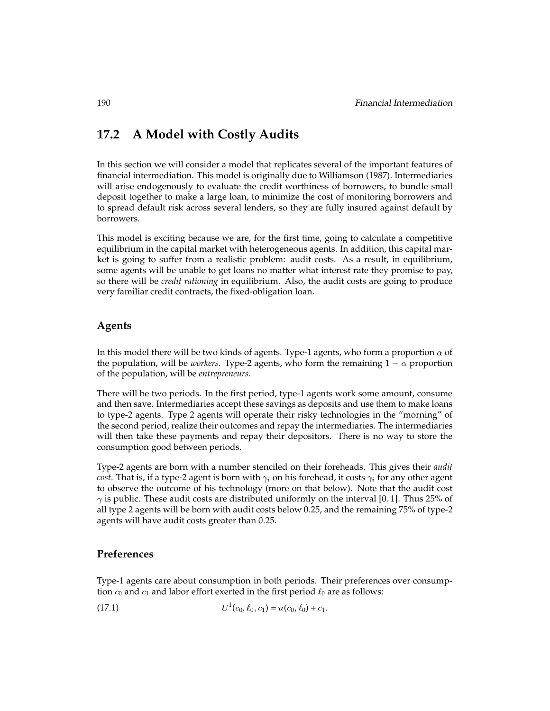# **17.2 A Model with Costly Audits**

In this section we will consider a model that replicates several of the important features of financial intermediation. This model is originally due to Williamson (1987). Intermediaries will arise endogenously to evaluate the credit worthiness of borrowers, to bundle small deposit together to make a large loan, to minimize the cost of monitoring borrowers and to spread default risk across several lenders, so they are fully insured against default by borrowers.

This model is exciting because we are, for the first time, going to calculate a competitive equilibrium in the capital market with heterogeneous agents. In addition, this capital market is going to suffer from a realistic problem: audit costs. As a result, in equilibrium, some agents will be unable to get loans no matter what interest rate they promise to pay, so there will be *credit rationing* in equilibrium. Also, the audit costs are going to produce very familiar credit contracts, the fixed-obligation loan.

# **Agents**

In this model there will be two kinds of agents. Type-1 agents, who form a proportion  $\alpha$  of the population, will be *workers*. Type-2 agents, who form the remaining  $1 - \alpha$  proportion of the population, will be *entrepreneurs.*

There will be two periods. In the first period, type-1 agents work some amount, consume and then save. Intermediaries accept these savings as deposits and use them to make loans to type-2 agents. Type 2 agents will operate their risky technologies in the "morning" of the second period, realize their outcomes and repay the intermediaries. The intermediaries will then take these payments and repay their depositors. There is no way to store the consumption good between periods.

Type-2 agents are born with a number stenciled on their foreheads. This gives their *audit cost.* That is, if a type-2 agent is born with  $\gamma_i$  on his forehead, it costs  $\gamma_i$  for any other agent to observe the outcome of his technology (more on that below). Note that the audit cost  $\gamma$  is public. These audit costs are distributed uniformly on the interval [0, 1]. Thus 25% of all type 2 agents will be born with audit costs below 0:25, and the remaining 75% of type-2 agents will have audit costs greater than 0:25.

# **Preferences**

Type-1 agents care about consumption in both periods. Their preferences over consumption  $c_0$  and  $c_1$  and labor effort exerted in the first period  $\ell_0$  are as follows:

(17.1) 
$$
U^1(c_0, \ell_0, c_1) = u(c_0, \ell_0) + c_1.
$$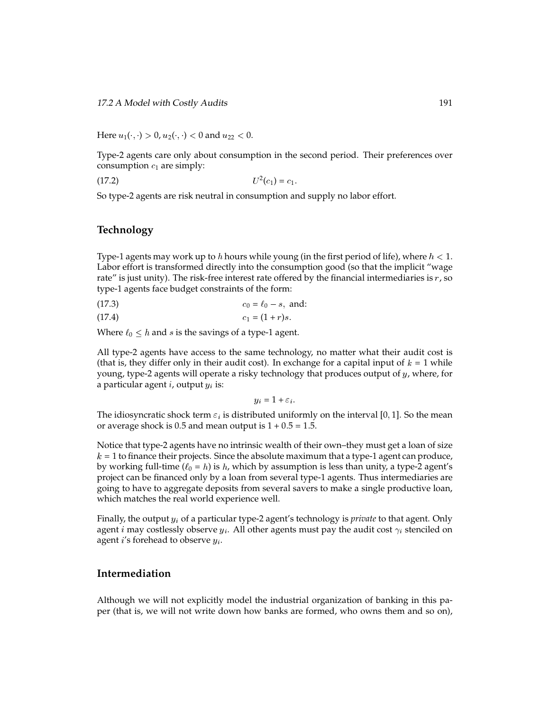Here  $u_1($ ,  $) > 0$ ,  $u_2($ ,  $) < 0$  and  $u_{22} < 0$ .

Type-2 agents care only about consumption in the second period. Their preferences over consumption  $c_1$  are simply:

(17.2)  $U^2(c_1) = c_1$ .

So type-2 agents are risk neutral in consumption and supply no labor effort.

### **Technology**

Type-1 agents may work up to h hours while young (in the first period of life), where  $h < 1$ . Labor effort is transformed directly into the consumption good (so that the implicit "wage rate" is just unity). The risk-free interest rate offered by the financial intermediaries is  $r$ , so type-1 agents face budget constraints of the form:

(17.3) 
$$
c_0 = \ell_0 - s
$$
, and:

(17.4)  $c_1 = (1 + r)s$ .

Where  $\ell_0 \leq h$  and s is the savings of a type-1 agent.

All type-2 agents have access to the same technology, no matter what their audit cost is (that is, they differ only in their audit cost). In exchange for a capital input of  $k = 1$  while young, type-2 agents will operate a risky technology that produces output of <sup>y</sup>, where, for a particular agent  $i$ , output  $y_i$  is:

$$
y_i = 1 + \varepsilon_i.
$$

The idiosyncratic shock term  $\varepsilon_i$  is distributed uniformly on the interval [0, 1]. So the mean or average shock is 0.5 and mean output is  $1 + 0.5 = 1.5$ .

Notice that type-2 agents have no intrinsic wealth of their own–they must get a loan of size  $k = 1$  to finance their projects. Since the absolute maximum that a type-1 agent can produce, by working full-time  $(\ell_0 = h)$  is h, which by assumption is less than unity, a type-2 agent's project can be financed only by a loan from several type-1 agents. Thus intermediaries are going to have to aggregate deposits from several savers to make a single productive loan, which matches the real world experience well.

Finally, the output yi of a particular type-2 agent's technology is *private* to that agent. Only agent *i* may costlessly observe  $y_i$ . All other agents must pay the audit cost  $\gamma_i$  stenciled on agent i's forehead to observe  $y_i$ .

# **Intermediation**

Although we will not explicitly model the industrial organization of banking in this paper (that is, we will not write down how banks are formed, who owns them and so on),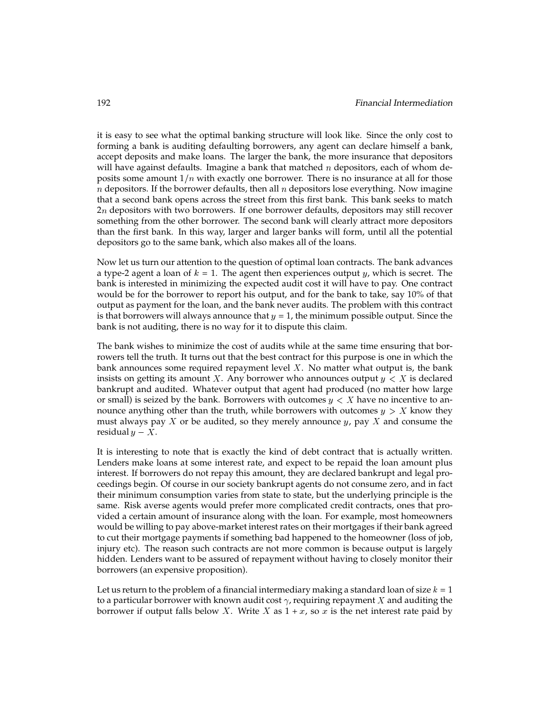it is easy to see what the optimal banking structure will look like. Since the only cost to forming a bank is auditing defaulting borrowers, any agent can declare himself a bank, accept deposits and make loans. The larger the bank, the more insurance that depositors will have against defaults. Imagine a bank that matched  $n$  depositors, each of whom deposits some amount  $1/n$  with exactly one borrower. There is no insurance at all for those  $n$  depositors. If the borrower defaults, then all  $n$  depositors lose everything. Now imagine that a second bank opens across the street from this first bank. This bank seeks to match 2<sup>n</sup> depositors with two borrowers. If one borrower defaults, depositors may still recover something from the other borrower. The second bank will clearly attract more depositors than the first bank. In this way, larger and larger banks will form, until all the potential depositors go to the same bank, which also makes all of the loans.

Now let us turn our attention to the question of optimal loan contracts. The bank advances a type-2 agent a loan of  $k = 1$ . The agent then experiences output y, which is secret. The bank is interested in minimizing the expected audit cost it will have to pay. One contract would be for the borrower to report his output, and for the bank to take, say 10% of that output as payment for the loan, and the bank never audits. The problem with this contract is that borrowers will always announce that  $y = 1$ , the minimum possible output. Since the bank is not auditing, there is no way for it to dispute this claim.

The bank wishes to minimize the cost of audits while at the same time ensuring that borrowers tell the truth. It turns out that the best contract for this purpose is one in which the bank announces some required repayment level  $X$ . No matter what output is, the bank insists on getting its amount X. Any borrower who announces output  $y < X$  is declared bankrupt and audited. Whatever output that agent had produced (no matter how large or small) is seized by the bank. Borrowers with outcomes  $y < X$  have no incentive to announce anything other than the truth, while borrowers with outcomes  $y > X$  know they must always pay X or be audited, so they merely announce  $y$ , pay X and consume the residual  $y - X$ .

It is interesting to note that is exactly the kind of debt contract that is actually written. Lenders make loans at some interest rate, and expect to be repaid the loan amount plus interest. If borrowers do not repay this amount, they are declared bankrupt and legal proceedings begin. Of course in our society bankrupt agents do not consume zero, and in fact their minimum consumption varies from state to state, but the underlying principle is the same. Risk averse agents would prefer more complicated credit contracts, ones that provided a certain amount of insurance along with the loan. For example, most homeowners would be willing to pay above-market interest rates on their mortgages if their bank agreed to cut their mortgage payments if something bad happened to the homeowner (loss of job, injury etc). The reason such contracts are not more common is because output is largely hidden. Lenders want to be assured of repayment without having to closely monitor their borrowers (an expensive proposition).

Let us return to the problem of a financial intermediary making a standard loan of size  $k = 1$ to a particular borrower with known audit cost  $\gamma$ , requiring repayment X and auditing the borrower if output falls below X. Write X as  $1 + x$ , so x is the net interest rate paid by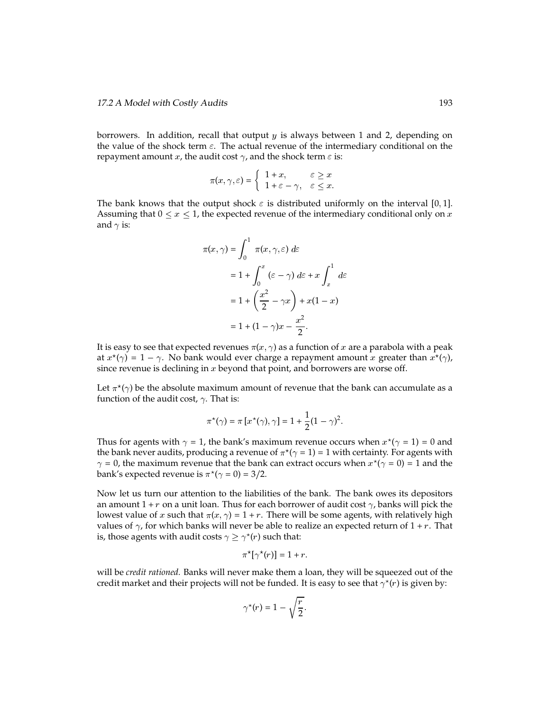borrowers. In addition, recall that output  $y$  is always between 1 and 2, depending on the value of the shock term  $\varepsilon$ . The actual revenue of the intermediary conditional on the repayment amount x, the audit cost  $\gamma$ , and the shock term  $\varepsilon$  is:

$$
\pi(x,\gamma,\varepsilon) = \begin{cases} 1+x, & \varepsilon \geq x \\ 1+\varepsilon-\gamma, & \varepsilon \leq x. \end{cases}
$$

The bank knows that the output shock  $\varepsilon$  is distributed uniformly on the interval [0,1]. Assuming that  $0 \leq x \leq 1$ , the expected revenue of the intermediary conditional only on x and  $\gamma$  is:

$$
\pi(x,\gamma) = \int_0^1 \pi(x,\gamma,\varepsilon) \,d\varepsilon
$$
  
=  $1 + \int_0^x (\varepsilon - \gamma) \,d\varepsilon + x \int_x^1 \,d\varepsilon$   
=  $1 + \left(\frac{x^2}{2} - \gamma x\right) + x(1-x)$   
=  $1 + (1 - \gamma)x - \frac{x^2}{2}$ .

It is easy to see that expected revenues  $\pi(x, \gamma)$  as a function of x are a parabola with a peak at  $x^*(\gamma) = 1 - \gamma$ . No bank would ever charge a repayment amount x greater than  $x^*(\gamma)$ , since revenue is declining in  $x$  beyond that point, and borrowers are worse off.

Let  $\pi^\star(\gamma)$  be the absolute maximum amount of revenue that the bank can accumulate as a function of the audit cost,  $\gamma$ . That is:

$$
\pi^*(\gamma) = \pi [x^*(\gamma), \gamma] = 1 + \frac{1}{2}(1 - \gamma)^2.
$$

Thus for agents with  $\gamma$  = 1, the bank's maximum revenue occurs when  $x^\star(\gamma=1)=0$  and the bank never audits, producing a revenue of  $\pi^\star(\gamma=1)=1$  with certainty. For agents with  $\gamma$  = 0, the maximum revenue that the bank can extract occurs when  $x^\star (\gamma = 0)$  = 1 and the bank's expected revenue is  $\pi^\star(\gamma=0) = 3/2.$ 

Now let us turn our attention to the liabilities of the bank. The bank owes its depositors an amount  $1 + r$  on a unit loan. Thus for each borrower of audit cost  $\gamma$ , banks will pick the lowest value of x such that  $\pi(x, \gamma) = 1 + r$ . There will be some agents, with relatively high values of  $\gamma$ , for which banks will never be able to realize an expected return of  $1 + r$ . That is, those agents with audit costs  $\gamma \geq \gamma^\star(r)$  such that:

$$
\pi^{\star}[\gamma^{\star}(r)] = 1 + r.
$$

will be *credit rationed.* Banks will never make them a loan, they will be squeezed out of the credit market and their projects will not be funded. It is easy to see that  $\gamma^\star(r)$  is given by:

$$
\gamma^{\star}(r) = 1 - \sqrt{\frac{r}{2}}.
$$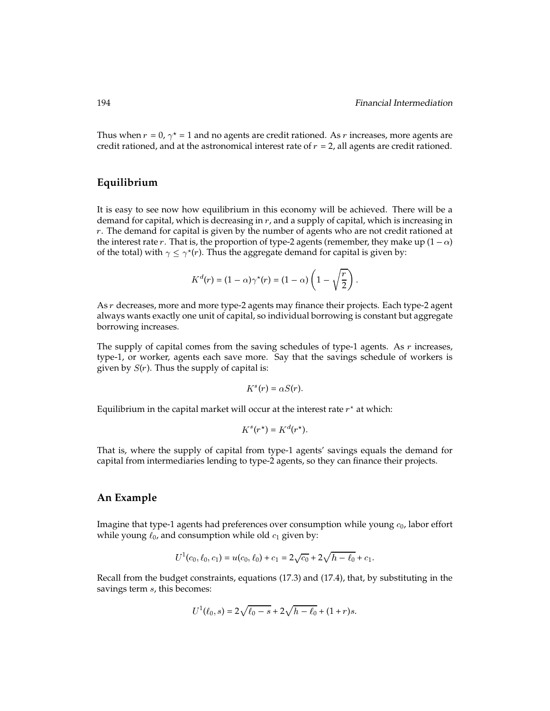Thus when  $r = 0$ ,  $\gamma^{\star} = 1$  and no agents are credit rationed. As  $r$  increases, more agents are credit rationed, and at the astronomical interest rate of  $r = 2$ , all agents are credit rationed.

# **Equilibrium**

It is easy to see now how equilibrium in this economy will be achieved. There will be a demand for capital, which is decreasing in  $r$ , and a supply of capital, which is increasing in  $r$ . The demand for capital is given by the number of agents who are not credit rationed at the interest rate r. That is, the proportion of type-2 agents (remember, they make up  $(1 - \alpha)$ ) of the total) with  $\gamma\leq\gamma^\star(r).$  Thus the aggregate demand for capital is given by:

$$
K^{d}(r) = (1 - \alpha)\gamma^*(r) = (1 - \alpha)\left(1 - \sqrt{\frac{r}{2}}\right).
$$

As <sup>r</sup> decreases, more and more type-2 agents may finance their projects. Each type-2 agent always wants exactly one unit of capital, so individual borrowing is constant but aggregate borrowing increases.

The supply of capital comes from the saving schedules of type-1 agents. As  $r$  increases, type-1, or worker, agents each save more. Say that the savings schedule of workers is given by  $S(r)$ . Thus the supply of capital is:

$$
K^s(r) = \alpha S(r)
$$

Equilibrium in the capital market will occur at the interest rate  $r^\star$  at which:

$$
K^s(r^*)=K^d(r^*)
$$

That is, where the supply of capital from type-1 agents' savings equals the demand for capital from intermediaries lending to type-2 agents, so they can finance their projects.

#### **An Example**

Imagine that type-1 agents had preferences over consumption while young  $c_0$ , labor effort while young  $\ell_0$ , and consumption while old  $c_1$  given by:

$$
U^{1}(c_{0}, \ell_{0}, c_{1}) = u(c_{0}, \ell_{0}) + c_{1} = 2\sqrt{c_{0}} + 2\sqrt{h - \ell_{0}} + c_{1}.
$$

Recall from the budget constraints, equations (17.3) and (17.4), that, by substituting in the savings term  $s$ , this becomes:

$$
U^{1}(\ell_{0}, s) = 2\sqrt{\ell_{0} - s} + 2\sqrt{h - \ell_{0}} + (1 + r)s.
$$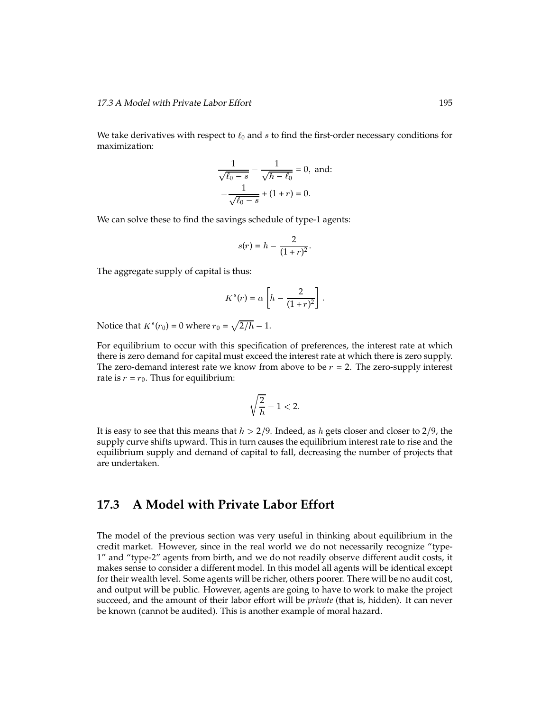We take derivatives with respect to  $\ell_0$  and s to find the first-order necessary conditions for maximization:

$$
\frac{1}{\sqrt{\ell_0 - s}} - \frac{1}{\sqrt{h - \ell_0}} = 0, \text{ and:}
$$

$$
-\frac{1}{\sqrt{\ell_0 - s}} + (1 + r) = 0.
$$

We can solve these to find the savings schedule of type-1 agents:

$$
s(r) = h - \frac{2}{(1+r)^2}.
$$

The aggregate supply of capital is thus:

$$
K^{s}(r) = \alpha \left[ h - \frac{2}{(1+r)^{2}} \right].
$$

Notice that  $K^s(r_0) = 0$  where  $r_0 = \sqrt{2/h} - 1$ .

For equilibrium to occur with this specification of preferences, the interest rate at which there is zero demand for capital must exceed the interest rate at which there is zero supply. The zero-demand interest rate we know from above to be  $r = 2$ . The zero-supply interest rate is  $r = r_0$ . Thus for equilibrium:

$$
\sqrt{\frac{2}{h}}-1<2.
$$

It is easy to see that this means that  $h > 2/9$ . Indeed, as h gets closer and closer to 2/9, the supply curve shifts upward. This in turn causes the equilibrium interest rate to rise and the equilibrium supply and demand of capital to fall, decreasing the number of projects that are undertaken.

# **17.3 A Model with Private Labor Effort**

The model of the previous section was very useful in thinking about equilibrium in the credit market. However, since in the real world we do not necessarily recognize "type-1" and "type-2" agents from birth, and we do not readily observe different audit costs, it makes sense to consider a different model. In this model all agents will be identical except for their wealth level. Some agents will be richer, others poorer. There will be no audit cost, and output will be public. However, agents are going to have to work to make the project succeed, and the amount of their labor effort will be *private* (that is, hidden). It can never be known (cannot be audited). This is another example of moral hazard.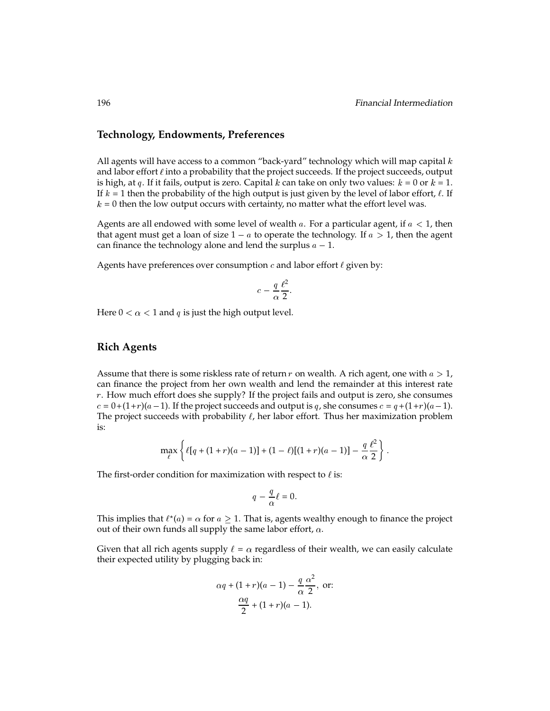#### **Technology, Endowments, Preferences**

All agents will have access to a common "back-yard" technology which will map capital  $k$ and labor effort  $\ell$  into a probability that the project succeeds. If the project succeeds, output is high, at q. If it fails, output is zero. Capital k can take on only two values:  $k = 0$  or  $k = 1$ . If  $k = 1$  then the probability of the high output is just given by the level of labor effort,  $\ell$ . If  $k = 0$  then the low output occurs with certainty, no matter what the effort level was.

Agents are all endowed with some level of wealth  $a$ . For a particular agent, if  $a < 1$ , then that agent must get a loan of size  $1 - a$  to operate the technology. If  $a > 1$ , then the agent can finance the technology alone and lend the surplus  $a - 1$ .

Agents have preferences over consumption  $c$  and labor effort  $\ell$  given by:

$$
c-\frac{q}{\alpha}\frac{\ell^2}{2}.
$$

Here  $0 < \alpha < 1$  and q is just the high output level.

### **Rich Agents**

Assume that there is some riskless rate of return r on wealth. A rich agent, one with  $a > 1$ , can finance the project from her own wealth and lend the remainder at this interest rate  $r$ . How much effort does she supply? If the project fails and output is zero, she consumes  $c = 0+(1+r)(a-1)$ . If the project succeeds and output is q, she consumes  $c = q+(1+r)(a-1)$ . The project succeeds with probability  $\ell$ , her labor effort. Thus her maximization problem is:

$$
\max_{\ell} \left\{ \ell[q + (1+r)(a-1)] + (1-\ell)[(1+r)(a-1)] - \frac{q}{\alpha} \frac{\ell^2}{2} \right\}.
$$

The first-order condition for maximization with respect to  $\ell$  is:

$$
q-\frac{q}{\alpha}\ell=0.
$$

This implies that  $\ell^{\star}(a) = \alpha$  for  $a \geq 1$ . That is, agents wealthy enough to finance the project out of their own funds all supply the same labor effort,  $\alpha$ .

Given that all rich agents supply  $\ell = \alpha$  regardless of their wealth, we can easily calculate their expected utility by plugging back in:

$$
\alpha q + (1+r)(a-1) - \frac{q}{\alpha} \frac{\alpha^2}{2}, \text{ or:}
$$

$$
\frac{\alpha q}{2} + (1+r)(a-1).
$$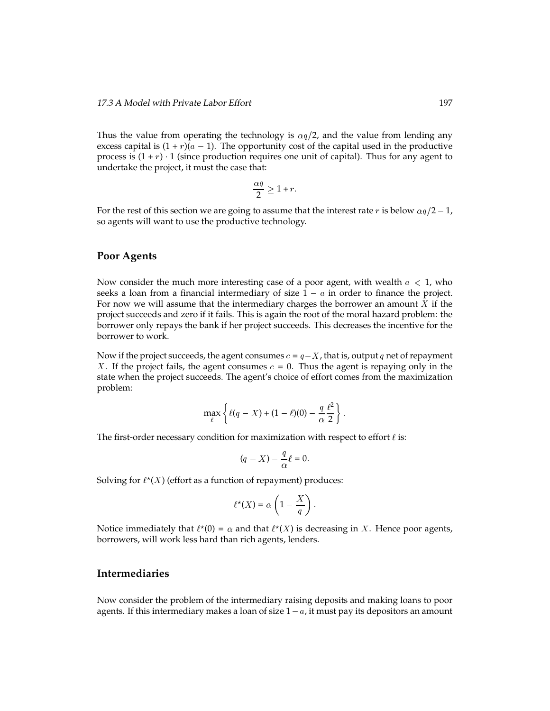Thus the value from operating the technology is  $\alpha q/2$ , and the value from lending any excess capital is  $(1 + r)(a - 1)$ . The opportunity cost of the capital used in the productive process is  $(1 + r)$  1 (since production requires one unit of capital). Thus for any agent to undertake the project, it must the case that:

$$
\frac{\alpha q}{2} \ge 1 + r.
$$

For the rest of this section we are going to assume that the interest rate r is below  $\alpha q/2 - 1$ , so agents will want to use the productive technology.

#### **Poor Agents**

Now consider the much more interesting case of a poor agent, with wealth  $a < 1$ , who seeks a loan from a financial intermediary of size  $1 - a$  in order to finance the project. For now we will assume that the intermediary charges the borrower an amount  $X$  if the project succeeds and zero if it fails. This is again the root of the moral hazard problem: the borrower only repays the bank if her project succeeds. This decreases the incentive for the borrower to work.

Now if the project succeeds, the agent consumes  $c = q - X$ , that is, output q net of repayment X. If the project fails, the agent consumes  $c = 0$ . Thus the agent is repaying only in the state when the project succeeds. The agent's choice of effort comes from the maximization problem:

$$
\max_{\ell} \left\{ \ell(q-X) + (1-\ell)(0) - \frac{q}{\alpha} \frac{\ell^2}{2} \right\}.
$$

The first-order necessary condition for maximization with respect to effort  $\ell$  is:

$$
(q - X) - \frac{q}{\alpha} \ell = 0.
$$

Solving for  $\ell^\star(X)$  (effort as a function of repayment) produces:

$$
\ell^*(X) = \alpha \left(1 - \frac{X}{q}\right).
$$

Notice immediately that  $\ell^*(0) = \alpha$  and that  $\ell^*(X)$  is decreasing in X. Hence poor agents, borrowers, will work less hard than rich agents, lenders.

# **Intermediaries**

Now consider the problem of the intermediary raising deposits and making loans to poor agents. If this intermediary makes a loan of size  $1 - a$ , it must pay its depositors an amount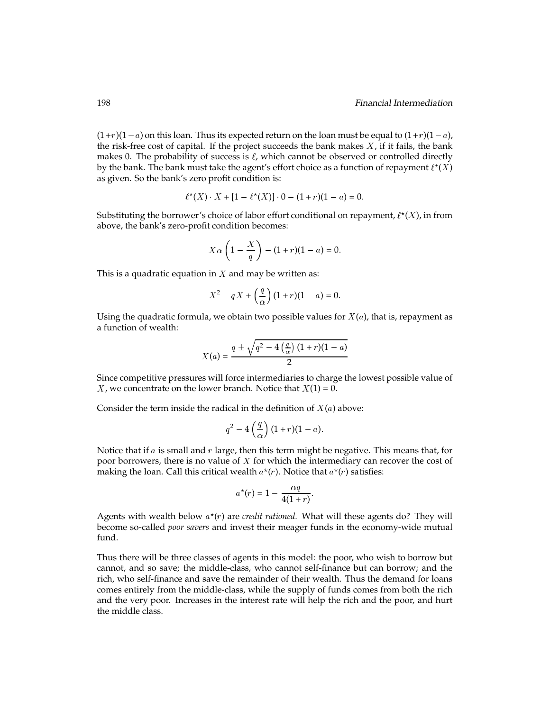$(1+r)(1-a)$  on this loan. Thus its expected return on the loan must be equal to  $(1+r)(1-a)$ , the risk-free cost of capital. If the project succeeds the bank makes  $X$ , if it fails, the bank makes 0. The probability of success is  $\ell$ , which cannot be observed or controlled directly by the bank. The bank must take the agent's effort choice as a function of repayment  $\ell^\star(X)$ as given. So the bank's zero profit condition is:

$$
\ell^*(X) \cdot X + [1 - \ell^*(X)] \cdot 0 - (1+r)(1-a) = 0.
$$

Substituting the borrower's choice of labor effort conditional on repayment,  $\ell^\star(X)$ , in from above, the bank's zero-profit condition becomes:

$$
X\alpha\left(1-\frac{X}{q}\right)-(1+r)(1-a)=0.
$$

This is a quadratic equation in  $X$  and may be written as:

$$
X^2 - qX + \left(\frac{q}{\alpha}\right)(1+r)(1-a) = 0.
$$

Using the quadratic formula, we obtain two possible values for  $X(a)$ , that is, repayment as a function of wealth:

$$
X(a) = \frac{q \pm \sqrt{q^2 - 4\left(\frac{q}{\alpha}\right)(1+r)(1-a)}}{2}
$$

Since competitive pressures will force intermediaries to charge the lowest possible value of *X*, we concentrate on the lower branch. Notice that  $X(1) = 0$ .

Consider the term inside the radical in the definition of  $X(a)$  above:

$$
q^2-4\left(\frac{q}{\alpha}\right)(1+r)(1-a).
$$

Notice that if  $a$  is small and  $r$  large, then this term might be negative. This means that, for poor borrowers, there is no value of  $X$  for which the intermediary can recover the cost of making the loan. Call this critical wealth  $a^{\star}(r)$ . Notice that  $a^{\star}(r)$  satisfies:

$$
a^*(r) = 1 - \frac{\alpha q}{4(1+r)}.
$$

Agents with wealth below  $a^*(r)$  are *credit rationed*. What will these agents do? They will become so-called *poor savers* and invest their meager funds in the economy-wide mutual fund.

Thus there will be three classes of agents in this model: the poor, who wish to borrow but cannot, and so save; the middle-class, who cannot self-finance but can borrow; and the rich, who self-finance and save the remainder of their wealth. Thus the demand for loans comes entirely from the middle-class, while the supply of funds comes from both the rich and the very poor. Increases in the interest rate will help the rich and the poor, and hurt the middle class.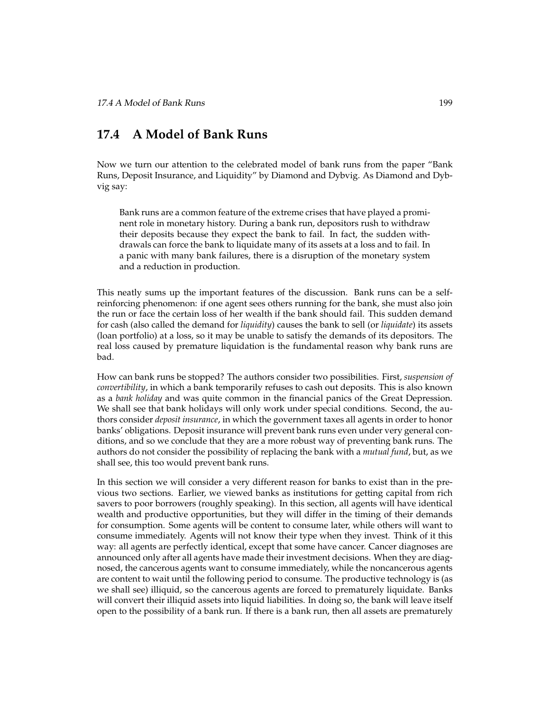# **17.4 A Model of Bank Runs**

Now we turn our attention to the celebrated model of bank runs from the paper "Bank Runs, Deposit Insurance, and Liquidity" by Diamond and Dybvig. As Diamond and Dybvig say:

Bank runs are a common feature of the extreme crises that have played a prominent role in monetary history. During a bank run, depositors rush to withdraw their deposits because they expect the bank to fail. In fact, the sudden withdrawals can force the bank to liquidate many of its assets at a loss and to fail. In a panic with many bank failures, there is a disruption of the monetary system and a reduction in production.

This neatly sums up the important features of the discussion. Bank runs can be a selfreinforcing phenomenon: if one agent sees others running for the bank, she must also join the run or face the certain loss of her wealth if the bank should fail. This sudden demand for cash (also called the demand for *liquidity*) causes the bank to sell (or *liquidate*) its assets (loan portfolio) at a loss, so it may be unable to satisfy the demands of its depositors. The real loss caused by premature liquidation is the fundamental reason why bank runs are bad.

How can bank runs be stopped? The authors consider two possibilities. First, *suspension of convertibility*, in which a bank temporarily refuses to cash out deposits. This is also known as a *bank holiday* and was quite common in the financial panics of the Great Depression. We shall see that bank holidays will only work under special conditions. Second, the authors consider *deposit insurance*, in which the government taxes all agents in order to honor banks' obligations. Deposit insurance will prevent bank runs even under very general conditions, and so we conclude that they are a more robust way of preventing bank runs. The authors do not consider the possibility of replacing the bank with a *mutual fund*, but, as we shall see, this too would prevent bank runs.

In this section we will consider a very different reason for banks to exist than in the previous two sections. Earlier, we viewed banks as institutions for getting capital from rich savers to poor borrowers (roughly speaking). In this section, all agents will have identical wealth and productive opportunities, but they will differ in the timing of their demands for consumption. Some agents will be content to consume later, while others will want to consume immediately. Agents will not know their type when they invest. Think of it this way: all agents are perfectly identical, except that some have cancer. Cancer diagnoses are announced only after all agents have made their investment decisions. When they are diagnosed, the cancerous agents want to consume immediately, while the noncancerous agents are content to wait until the following period to consume. The productive technology is (as we shall see) illiquid, so the cancerous agents are forced to prematurely liquidate. Banks will convert their illiquid assets into liquid liabilities. In doing so, the bank will leave itself open to the possibility of a bank run. If there is a bank run, then all assets are prematurely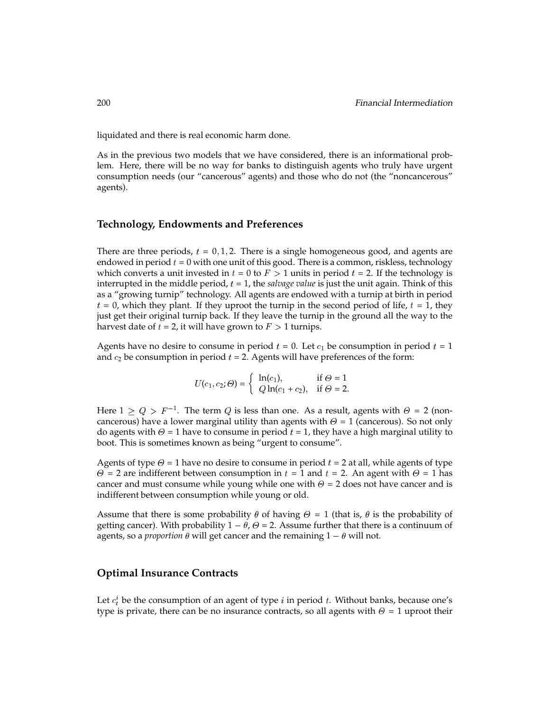liquidated and there is real economic harm done.

As in the previous two models that we have considered, there is an informational problem. Here, there will be no way for banks to distinguish agents who truly have urgent consumption needs (our "cancerous" agents) and those who do not (the "noncancerous" agents).

### **Technology, Endowments and Preferences**

There are three periods,  $t = 0, 1, 2$ . There is a single homogeneous good, and agents are endowed in period  $t = 0$  with one unit of this good. There is a common, riskless, technology which converts a unit invested in  $t = 0$  to  $F > 1$  units in period  $t = 2$ . If the technology is interrupted in the middle period,  $t = 1$ , the *salvage value* is just the unit again. Think of this as a "growing turnip" technology. All agents are endowed with a turnip at birth in period  $t = 0$ , which they plant. If they uproot the turnip in the second period of life,  $t = 1$ , they just get their original turnip back. If they leave the turnip in the ground all the way to the harvest date of  $t = 2$ , it will have grown to  $F > 1$  turnips.

Agents have no desire to consume in period  $t = 0$ . Let  $c_1$  be consumption in period  $t = 1$ and  $c_2$  be consumption in period  $t = 2$ . Agents will have preferences of the form:

$$
U(c_1, c_2; \Theta) = \begin{cases} \ln(c_1), & \text{if } \Theta = 1 \\ Q \ln(c_1 + c_2), & \text{if } \Theta = 2. \end{cases}
$$

Here  $1 \ge Q > F^{-1}$ . The term  $Q$  is less than one. As a result, agents with  $\Theta = 2$  (noncancerous) have a lower marginal utility than agents with  $\theta$  = 1 (cancerous). So not only do agents with  $\varTheta$  = 1 have to consume in period  $t$  = 1, they have a high marginal utility to boot. This is sometimes known as being "urgent to consume".

Agents of type  $\Theta$  = 1 have no desire to consume in period  $t$  = 2 at all, while agents of type  $\Theta = 2$  are indifferent between consumption in  $t = 1$  and  $t = 2$ . An agent with  $\Theta = 1$  has cancer and must consume while young while one with  $\theta$  = 2 does not have cancer and is indifferent between consumption while young or old.

Assume that there is some probability  $\theta$  of having  $\theta = 1$  (that is,  $\theta$  is the probability of getting cancer). With probability  $1 - \theta$ ,  $\Theta = 2$ . Assume further that there is a continuum of agents, so a *proportion*  $\theta$  will get cancer and the remaining  $1 - \theta$  will not.

#### **Optimal Insurance Contracts**

Let  $c_t^i$  be the consumption of an agent of type  $i$  in period  $t$ . Without banks, because one's type is private, there can be no insurance contracts, so all agents with  $\theta = 1$  uproot their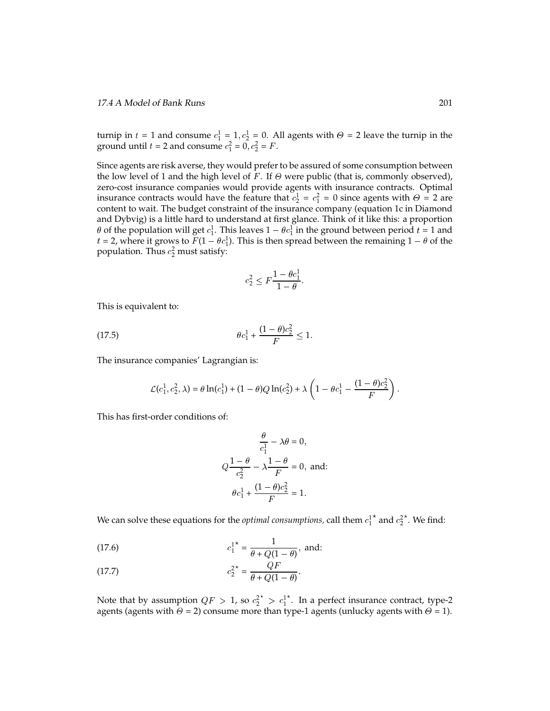turnip in  $t = 1$  and consume  $c_1^1 = 1, c_2^1 = 0$ . All agents with  $\Theta = 2$  leave the turnip in the ground until  $t = 2$  and consume  $c_1^2 = 0, c_2^2 = F$ .

Since agents are risk averse, they would prefer to be assured of some consumption between the low level of 1 and the high level of F. If  $\Theta$  were public (that is, commonly observed), zero-cost insurance companies would provide agents with insurance contracts. Optimal insurance contracts would have the feature that  $c_2^1 = c_1^2 = 0$  since agents with  $\Theta = 2$  are content to wait. The budget constraint of the insurance company (equation 1c in Diamond and Dybvig) is a little hard to understand at first glance. Think of it like this: a proportion  $\theta$  of the population will get  $c_1^1$ . This leaves  $1 - \theta c_1^1$  in the ground between period  $t = 1$  and  $t = 2$ , where it grows to  $F(1 - \theta c_1^1)$ . This is then spread between the remaining  $1 - \theta$  of the population. Thus  $c_2^2$  must satisfy:

$$
c_2^2 \le F \frac{1 - \theta c_1^1}{1 - \theta}.
$$

This is equivalent to:

(17.5) 
$$
\theta c_1^1 + \frac{(1-\theta)c_2^2}{F} \le 1.
$$

The insurance companies' Lagrangian is:

$$
\mathcal{L}(c_1^1, c_2^2, \lambda) = \theta \ln(c_1^1) + (1 - \theta)Q \ln(c_2^2) + \lambda \left(1 - \theta c_1^1 - \frac{(1 - \theta)c_2^2}{F}\right).
$$

This has first-order conditions of:

$$
\frac{\theta}{c_1^1} - \lambda \theta = 0,
$$
  

$$
Q \frac{1 - \theta}{c_2^2} - \lambda \frac{1 - \theta}{F} = 0, \text{ and:}
$$
  

$$
\theta c_1^1 + \frac{(1 - \theta)c_2^2}{F} = 1.
$$

We can solve these equations for the *optimal consumptions*, call them  $c_1^{1*}$  and  $c_2^{2*}$ . We find:

(17.6) 
$$
c_1^{1*} = \frac{1}{\theta + Q(1-\theta)}, \text{ and:}
$$

$$
c_2^{2^*} = \frac{QF}{\theta + Q(1-\theta)}.
$$

Note that by assumption  $QF > 1$ , so  $c_2^2 \geq c_1^{1*}$ . In a perfect insurance contract, type-2 agents (agents with  $\theta$  = 2) consume more than type-1 agents (unlucky agents with  $\theta$  = 1).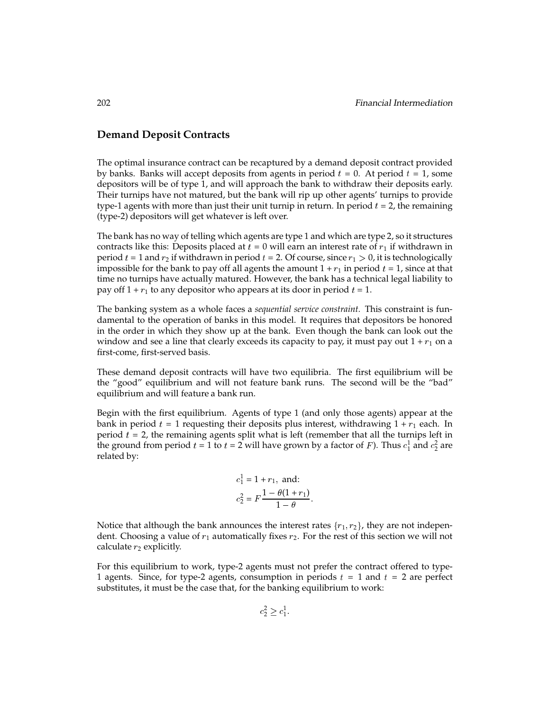#### **Demand Deposit Contracts**

The optimal insurance contract can be recaptured by a demand deposit contract provided by banks. Banks will accept deposits from agents in period  $t = 0$ . At period  $t = 1$ , some depositors will be of type 1, and will approach the bank to withdraw their deposits early. Their turnips have not matured, but the bank will rip up other agents' turnips to provide type-1 agents with more than just their unit turnip in return. In period  $t = 2$ , the remaining (type-2) depositors will get whatever is left over.

The bank has no way of telling which agents are type 1 and which are type 2, so it structures contracts like this: Deposits placed at  $t = 0$  will earn an interest rate of  $r_1$  if withdrawn in period  $t = 1$  and  $r<sub>2</sub>$  if withdrawn in period  $t = 2$ . Of course, since  $r<sub>1</sub> > 0$ , it is technologically impossible for the bank to pay off all agents the amount  $1 + r_1$  in period  $t = 1$ , since at that time no turnips have actually matured. However, the bank has a technical legal liability to pay off  $1 + r_1$  to any depositor who appears at its door in period  $t = 1$ .

The banking system as a whole faces a *sequential service constraint.* This constraint is fundamental to the operation of banks in this model. It requires that depositors be honored in the order in which they show up at the bank. Even though the bank can look out the window and see a line that clearly exceeds its capacity to pay, it must pay out  $1 + r_1$  on a first-come, first-served basis.

These demand deposit contracts will have two equilibria. The first equilibrium will be the "good" equilibrium and will not feature bank runs. The second will be the "bad" equilibrium and will feature a bank run.

Begin with the first equilibrium. Agents of type 1 (and only those agents) appear at the bank in period  $t = 1$  requesting their deposits plus interest, withdrawing  $1 + r_1$  each. In period  $t = 2$ , the remaining agents split what is left (remember that all the turnips left in the ground from period  $t = 1$  to  $t = 2$  will have grown by a factor of F). Thus  $c_1^1$  and  $c_2^2$  are related by:

$$
c_1^1 = 1 + r_1
$$
, and:  
 $c_2^2 = F \frac{1 - \theta(1 + r_1)}{1 - \theta}$ .

Notice that although the bank announces the interest rates  $\{r_1, r_2\}$ , they are not independent. Choosing a value of  $r_1$  automatically fixes  $r_2$ . For the rest of this section we will not calculate  $r_2$  explicitly.

For this equilibrium to work, type-2 agents must not prefer the contract offered to type-1 agents. Since, for type-2 agents, consumption in periods  $t = 1$  and  $t = 2$  are perfect substitutes, it must be the case that, for the banking equilibrium to work:

$$
c_2^2 \ge c_1^1
$$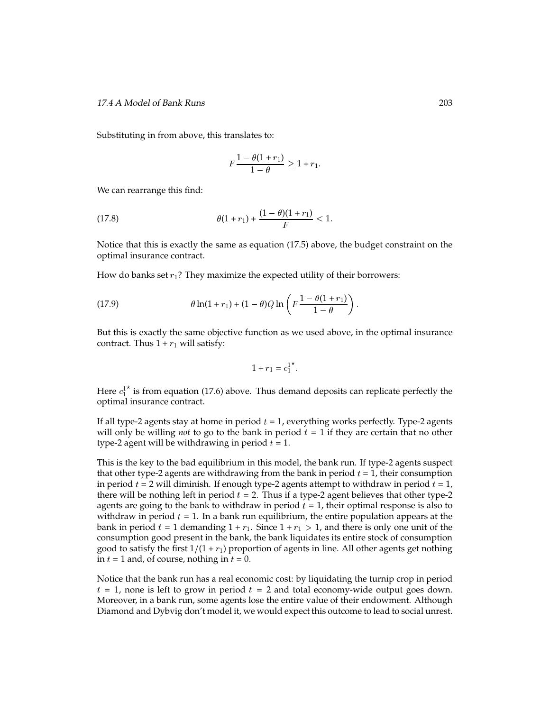Substituting in from above, this translates to:

$$
F\frac{1-\theta(1+r_1)}{1-\theta}\geq 1+r_1.
$$

We can rearrange this find:

(17.8) 
$$
\theta(1+r_1) + \frac{(1-\theta)(1+r_1)}{F} \leq 1.
$$

Notice that this is exactly the same as equation (17.5) above, the budget constraint on the optimal insurance contract.

How do banks set  $r_1$ ? They maximize the expected utility of their borrowers:

(17.9) 
$$
\theta \ln(1 + r_1) + (1 - \theta)Q \ln \left( F \frac{1 - \theta(1 + r_1)}{1 - \theta} \right).
$$

But this is exactly the same objective function as we used above, in the optimal insurance contract. Thus  $1 + r_1$  will satisfy:

$$
1 + r_1 = c_1^{1*}.
$$

Here  $c_1^{1*}$  is from equation (17.6) above. Thus demand deposits can replicate perfectly the optimal insurance contract.

If all type-2 agents stay at home in period  $t = 1$ , everything works perfectly. Type-2 agents will only be willing *not* to go to the bank in period  $t = 1$  if they are certain that no other type-2 agent will be withdrawing in period  $t = 1$ .

This is the key to the bad equilibrium in this model, the bank run. If type-2 agents suspect that other type-2 agents are withdrawing from the bank in period  $t = 1$ , their consumption in period  $t = 2$  will diminish. If enough type-2 agents attempt to withdraw in period  $t = 1$ , there will be nothing left in period  $t = 2$ . Thus if a type-2 agent believes that other type-2 agents are going to the bank to withdraw in period  $t = 1$ , their optimal response is also to withdraw in period  $t = 1$ . In a bank run equilibrium, the entire population appears at the bank in period  $t = 1$  demanding  $1 + r_1$ . Since  $1 + r_1 > 1$ , and there is only one unit of the consumption good present in the bank, the bank liquidates its entire stock of consumption good to satisfy the first  $1/(1 + r_1)$  proportion of agents in line. All other agents get nothing in  $t = 1$  and, of course, nothing in  $t = 0$ .

Notice that the bank run has a real economic cost: by liquidating the turnip crop in period  $t = 1$ , none is left to grow in period  $t = 2$  and total economy-wide output goes down. Moreover, in a bank run, some agents lose the entire value of their endowment. Although Diamond and Dybvig don't model it, we would expect this outcome to lead to social unrest.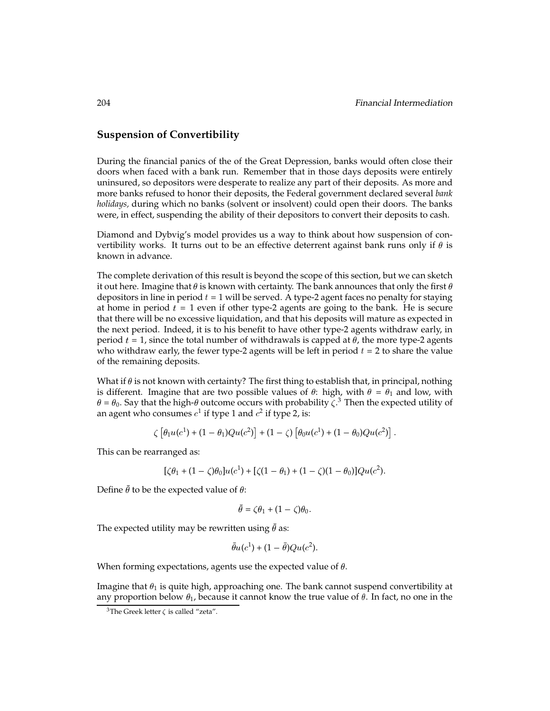#### **Suspension of Convertibility**

During the financial panics of the of the Great Depression, banks would often close their doors when faced with a bank run. Remember that in those days deposits were entirely uninsured, so depositors were desperate to realize any part of their deposits. As more and more banks refused to honor their deposits, the Federal government declared several *bank holidays,* during which no banks (solvent or insolvent) could open their doors. The banks were, in effect, suspending the ability of their depositors to convert their deposits to cash.

Diamond and Dybvig's model provides us a way to think about how suspension of convertibility works. It turns out to be an effective deterrent against bank runs only if  $\theta$  is known in advance.

The complete derivation of this result is beyond the scope of this section, but we can sketch it out here. Imagine that  $\theta$  is known with certainty. The bank announces that only the first  $\theta$ depositors in line in period  $t = 1$  will be served. A type-2 agent faces no penalty for staying at home in period  $t = 1$  even if other type-2 agents are going to the bank. He is secure that there will be no excessive liquidation, and that his deposits will mature as expected in the next period. Indeed, it is to his benefit to have other type-2 agents withdraw early, in period  $t = 1$ , since the total number of withdrawals is capped at  $\theta$ , the more type-2 agents who withdraw early, the fewer type-2 agents will be left in period  $t = 2$  to share the value of the remaining deposits.

What if  $\theta$  is not known with certainty? The first thing to establish that, in principal, nothing is different. Imagine that are two possible values of  $\theta$ : high, with  $\theta = \theta_1$  and low, with  $\theta = \theta_0$ . Say that the high- $\theta$  outcome occurs with probability  $\zeta$ .<sup>3</sup> Then the expected utility of an agent who consumes  $c^1$  if type 1 and  $c^2$  if type 2, is:

$$
\zeta\left[\theta_1u(c^1)+(1-\theta_1)Qu(c^2)\right]+(1-\zeta)\left[\theta_0u(c^1)+(1-\theta_0)Qu(c^2)\right].
$$

This can be rearranged as:

$$
[\zeta \theta_1 + (1 - \zeta)\theta_0]u(c^1) + [\zeta(1 - \theta_1) + (1 - \zeta)(1 - \theta_0)]Qu(c^2).
$$

Define  $\bar{\theta}$  to be the expected value of  $\theta$ :

$$
\bar{\theta} = \zeta \theta_1 + (1 - \zeta)\theta_0.
$$

The expected utility may be rewritten using  $\bar{\theta}$  as:

$$
\bar\theta u(c^1)+(1-\bar\theta)Qu(c^2).
$$

When forming expectations, agents use the expected value of  $\theta$ .

Imagine that  $\theta_1$  is quite high, approaching one. The bank cannot suspend convertibility at any proportion below  $\theta_1$ , because it cannot know the true value of  $\theta$ . In fact, no one in the

 $3$ The Greek letter  $\zeta$  is called "zeta".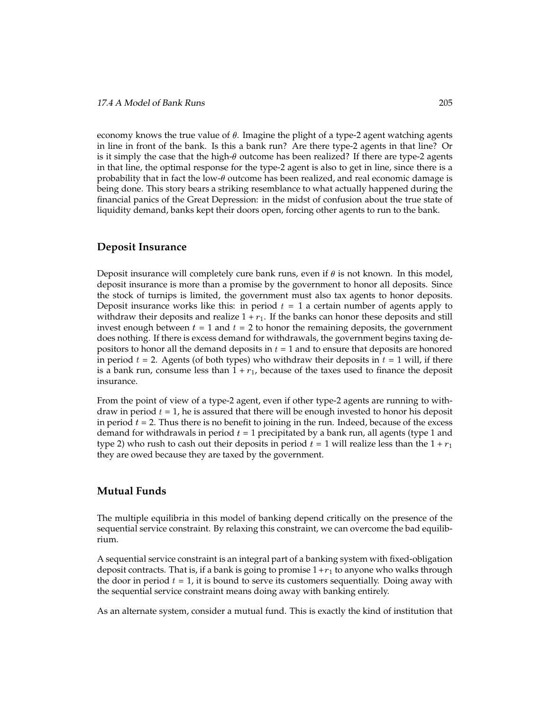economy knows the true value of  $\theta$ . Imagine the plight of a type-2 agent watching agents in line in front of the bank. Is this a bank run? Are there type-2 agents in that line? Or is it simply the case that the high- $\theta$  outcome has been realized? If there are type-2 agents in that line, the optimal response for the type-2 agent is also to get in line, since there is a probability that in fact the low- $\theta$  outcome has been realized, and real economic damage is being done. This story bears a striking resemblance to what actually happened during the financial panics of the Great Depression: in the midst of confusion about the true state of liquidity demand, banks kept their doors open, forcing other agents to run to the bank.

### **Deposit Insurance**

Deposit insurance will completely cure bank runs, even if  $\theta$  is not known. In this model, deposit insurance is more than a promise by the government to honor all deposits. Since the stock of turnips is limited, the government must also tax agents to honor deposits. Deposit insurance works like this: in period  $t = 1$  a certain number of agents apply to withdraw their deposits and realize  $1 + r_1$ . If the banks can honor these deposits and still invest enough between  $t = 1$  and  $t = 2$  to honor the remaining deposits, the government does nothing. If there is excess demand for withdrawals, the government begins taxing depositors to honor all the demand deposits in  $t = 1$  and to ensure that deposits are honored in period  $t = 2$ . Agents (of both types) who withdraw their deposits in  $t = 1$  will, if there is a bank run, consume less than  $1 + r_1$ , because of the taxes used to finance the deposit insurance.

From the point of view of a type-2 agent, even if other type-2 agents are running to withdraw in period  $t = 1$ , he is assured that there will be enough invested to honor his deposit in period  $t = 2$ . Thus there is no benefit to joining in the run. Indeed, because of the excess demand for withdrawals in period  $t = 1$  precipitated by a bank run, all agents (type 1 and type 2) who rush to cash out their deposits in period  $t = 1$  will realize less than the  $1 + r_1$ they are owed because they are taxed by the government.

# **Mutual Funds**

The multiple equilibria in this model of banking depend critically on the presence of the sequential service constraint. By relaxing this constraint, we can overcome the bad equilibrium.

A sequential service constraint is an integral part of a banking system with fixed-obligation deposit contracts. That is, if a bank is going to promise  $1 + r_1$  to anyone who walks through the door in period  $t = 1$ , it is bound to serve its customers sequentially. Doing away with the sequential service constraint means doing away with banking entirely.

As an alternate system, consider a mutual fund. This is exactly the kind of institution that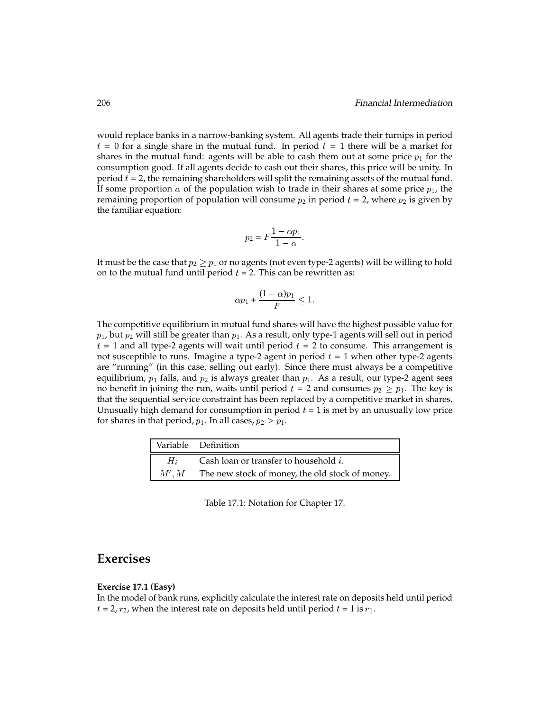would replace banks in a narrow-banking system. All agents trade their turnips in period  $t = 0$  for a single share in the mutual fund. In period  $t = 1$  there will be a market for shares in the mutual fund: agents will be able to cash them out at some price  $p_1$  for the consumption good. If all agents decide to cash out their shares, this price will be unity. In period  $t = 2$ , the remaining shareholders will split the remaining assets of the mutual fund. If some proportion  $\alpha$  of the population wish to trade in their shares at some price  $p_1$ , the remaining proportion of population will consume  $p_2$  in period  $t = 2$ , where  $p_2$  is given by the familiar equation:

$$
p_2 = F \frac{1 - \alpha p_1}{1 - \alpha}.
$$

It must be the case that  $p_2 \geq p_1$  or no agents (not even type-2 agents) will be willing to hold on to the mutual fund until period  $t = 2$ . This can be rewritten as:

$$
\alpha p_1 + \frac{(1-\alpha)p_1}{F} \le 1.
$$

The competitive equilibrium in mutual fund shares will have the highest possible value for  $p_1$ , but  $p_2$  will still be greater than  $p_1$ . As a result, only type-1 agents will sell out in period  $t = 1$  and all type-2 agents will wait until period  $t = 2$  to consume. This arrangement is not susceptible to runs. Imagine a type-2 agent in period  $t = 1$  when other type-2 agents are "running" (in this case, selling out early). Since there must always be a competitive equilibrium,  $p_1$  falls, and  $p_2$  is always greater than  $p_1$ . As a result, our type-2 agent sees no benefit in joining the run, waits until period  $t = 2$  and consumes  $p_2 \geq p_1$ . The key is that the sequential service constraint has been replaced by a competitive market in shares. Unusually high demand for consumption in period  $t = 1$  is met by an unusually low price for shares in that period,  $p_1$ . In all cases,  $p_2 \geq p_1$ .

| Variable Definition                                     |
|---------------------------------------------------------|
| $H_i$ Cash loan or transfer to household i.             |
| $M', M$ The new stock of money, the old stock of money. |

Table 17.1: Notation for Chapter 17.

# **Exercises**

#### **Exercise 17.1 (Easy)**

In the model of bank runs, explicitly calculate the interest rate on deposits held until period  $t = 2$ ,  $r_2$ , when the interest rate on deposits held until period  $t = 1$  is  $r_1$ .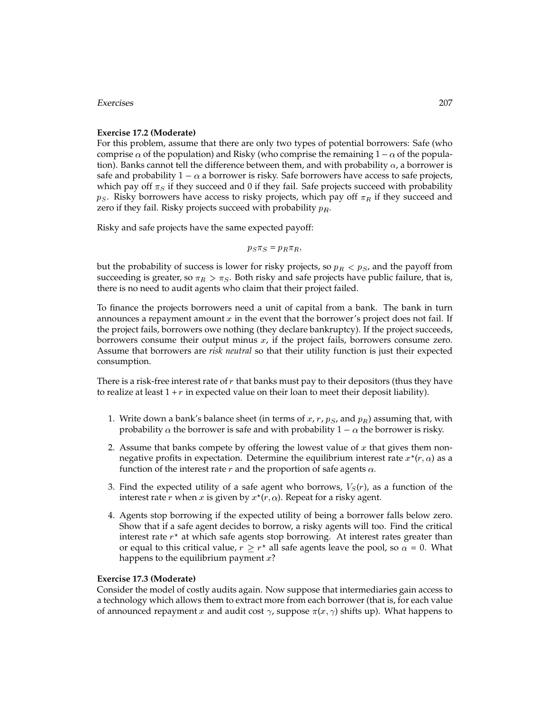#### Exercises 207

#### **Exercise 17.2 (Moderate)**

For this problem, assume that there are only two types of potential borrowers: Safe (who comprise  $\alpha$  of the population) and Risky (who comprise the remaining  $1 - \alpha$  of the population). Banks cannot tell the difference between them, and with probability  $\alpha$ , a borrower is safe and probability  $1 - \alpha$  a borrower is risky. Safe borrowers have access to safe projects, which pay off  $\pi_S$  if they succeed and 0 if they fail. Safe projects succeed with probability  $p_S$ . Risky borrowers have access to risky projects, which pay off  $\pi_R$  if they succeed and zero if they fail. Risky projects succeed with probability  $p_R$ .

Risky and safe projects have the same expected payoff:

 $p_S \pi_S = p_R \pi_R$ 

but the probability of success is lower for risky projects, so  $p_R < p_S$ , and the payoff from succeeding is greater, so  $\pi_R > \pi_S$ . Both risky and safe projects have public failure, that is, there is no need to audit agents who claim that their project failed.

To finance the projects borrowers need a unit of capital from a bank. The bank in turn announces a repayment amount  $x$  in the event that the borrower's project does not fail. If the project fails, borrowers owe nothing (they declare bankruptcy). If the project succeeds, borrowers consume their output minus  $x$ , if the project fails, borrowers consume zero. Assume that borrowers are *risk neutral* so that their utility function is just their expected consumption.

There is a risk-free interest rate of  $r$  that banks must pay to their depositors (thus they have to realize at least  $1 + r$  in expected value on their loan to meet their deposit liability).

- 1. Write down a bank's balance sheet (in terms of x, r,  $p<sub>S</sub>$ , and  $p<sub>R</sub>$ ) assuming that, with probability  $\alpha$  the borrower is safe and with probability  $1 - \alpha$  the borrower is risky.
- 2. Assume that banks compete by offering the lowest value of  $x$  that gives them nonnegative profits in expectation. Determine the equilibrium interest rate  $x^*(r, \alpha)$  as a function of the interest rate  $r$  and the proportion of safe agents  $\alpha$ .
- 3. Find the expected utility of a safe agent who borrows,  $V_s(r)$ , as a function of the interest rate r when x is given by  $x^*(r, \alpha)$ . Repeat for a risky agent.
- 4. Agents stop borrowing if the expected utility of being a borrower falls below zero. Show that if a safe agent decides to borrow, a risky agents will too. Find the critical interest rate  $r^*$  at which safe agents stop borrowing. At interest rates greater than or equal to this critical value,  $r \geq r^\star$  all safe agents leave the pool, so  $\alpha$  = 0. What happens to the equilibrium payment  $x$ ?

#### **Exercise 17.3 (Moderate)**

Consider the model of costly audits again. Now suppose that intermediaries gain access to a technology which allows them to extract more from each borrower (that is, for each value of announced repayment x and audit cost  $\gamma$ , suppose  $\pi(x, \gamma)$  shifts up). What happens to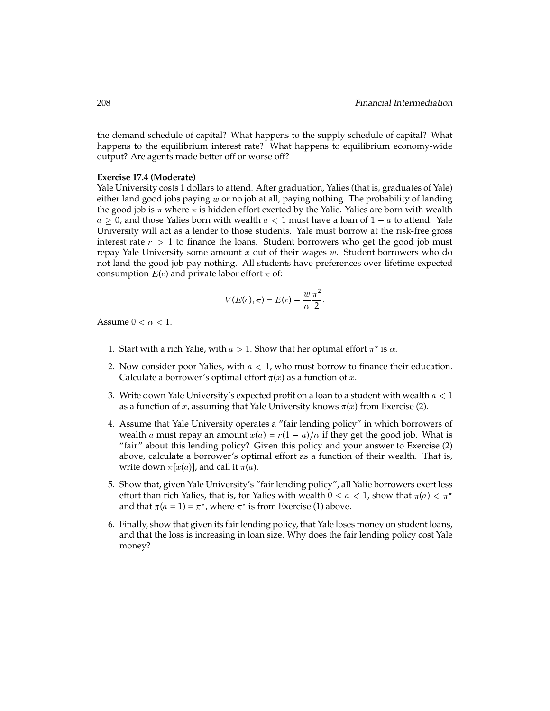the demand schedule of capital? What happens to the supply schedule of capital? What happens to the equilibrium interest rate? What happens to equilibrium economy-wide output? Are agents made better off or worse off?

#### **Exercise 17.4 (Moderate)**

Yale University costs 1 dollars to attend. After graduation, Yalies (that is, graduates of Yale) either land good jobs paying  $w$  or no job at all, paying nothing. The probability of landing the good job is  $\pi$  where  $\pi$  is hidden effort exerted by the Yalie. Yalies are born with wealth  $a \geq 0$ , and those Yalies born with wealth  $a < 1$  must have a loan of  $1 - a$  to attend. Yale University will act as a lender to those students. Yale must borrow at the risk-free gross interest rate  $r > 1$  to finance the loans. Student borrowers who get the good job must repay Yale University some amount  $x$  out of their wages  $w$ . Student borrowers who do not land the good job pay nothing. All students have preferences over lifetime expected consumption  $E(c)$  and private labor effort  $\pi$  of:

$$
V(E(c), \pi) = E(c) - \frac{w \pi^2}{\alpha 2}.
$$

Assume  $0 < \alpha < 1$ .

- 1. Start with a rich Yalie, with  $a > 1$ . Show that her optimal effort  $\pi^\star$  is  $\alpha$ .
- 2. Now consider poor Yalies, with  $a < 1$ , who must borrow to finance their education. Calculate a borrower's optimal effort  $\pi(x)$  as a function of x.
- 3. Write down Yale University's expected profit on a loan to a student with wealth  $a < 1$ as a function of x, assuming that Yale University knows  $\pi(x)$  from Exercise (2).
- 4. Assume that Yale University operates a "fair lending policy" in which borrowers of wealth a must repay an amount  $x(a) = r(1 - a)/\alpha$  if they get the good job. What is "fair" about this lending policy? Given this policy and your answer to Exercise (2) above, calculate a borrower's optimal effort as a function of their wealth. That is, write down  $\pi[x(a)]$ , and call it  $\pi(a)$ .
- 5. Show that, given Yale University's "fair lending policy", all Yalie borrowers exert less effort than rich Yalies, that is, for Yalies with wealth  $0 \le a \le 1$ , show that  $\pi(a) \le \pi^*$ and that  $\pi(a = 1) = \pi^*$ , where  $\pi^*$  is from Exercise (1) above.
- 6. Finally, show that given its fair lending policy, that Yale loses money on student loans, and that the loss is increasing in loan size. Why does the fair lending policy cost Yale money?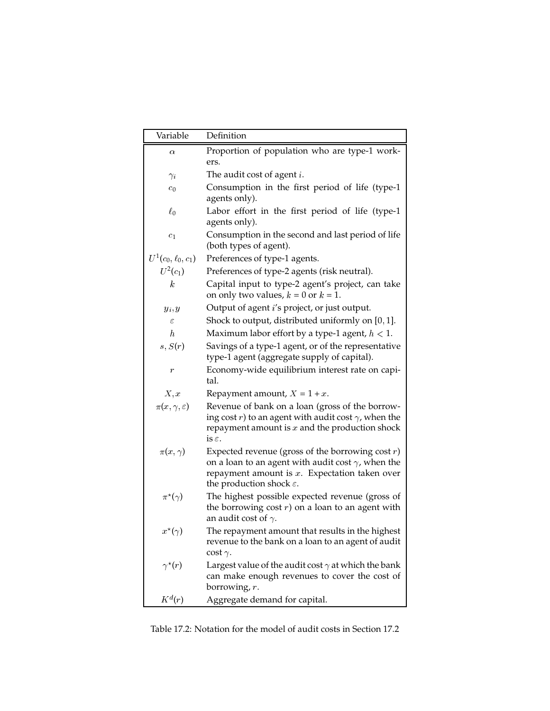| Variable                    | Definition                                                                                                                                                                                                   |
|-----------------------------|--------------------------------------------------------------------------------------------------------------------------------------------------------------------------------------------------------------|
| $\alpha$                    | Proportion of population who are type-1 work-<br>ers.                                                                                                                                                        |
| $\gamma_i$                  | The audit cost of agent <i>i</i> .                                                                                                                                                                           |
| $c_0$                       | Consumption in the first period of life (type-1)<br>agents only).                                                                                                                                            |
| $\ell_0$                    | Labor effort in the first period of life (type-1)<br>agents only).                                                                                                                                           |
| $c_1$                       | Consumption in the second and last period of life<br>(both types of agent).                                                                                                                                  |
| $U^1(c_0, \ell_0, c_1)$     | Preferences of type-1 agents.                                                                                                                                                                                |
| $U^2(c_1)$                  | Preferences of type-2 agents (risk neutral).                                                                                                                                                                 |
| k                           | Capital input to type-2 agent's project, can take<br>on only two values, $k = 0$ or $k = 1$ .                                                                                                                |
| $y_i, y$                    | Output of agent i's project, or just output.                                                                                                                                                                 |
| ε                           | Shock to output, distributed uniformly on [0, 1].                                                                                                                                                            |
| $\boldsymbol{h}$            | Maximum labor effort by a type-1 agent, $h < 1$ .                                                                                                                                                            |
| s, S(r)                     | Savings of a type-1 agent, or of the representative<br>type-1 agent (aggregate supply of capital).                                                                                                           |
| $\,r$                       | Economy-wide equilibrium interest rate on capi-<br>tal.                                                                                                                                                      |
| X, x                        | Repayment amount, $X = 1 + x$ .                                                                                                                                                                              |
| $\pi(x,\gamma,\varepsilon)$ | Revenue of bank on a loan (gross of the borrow-<br>ing cost r) to an agent with audit cost $\gamma$ , when the<br>repayment amount is $x$ and the production shock<br>is $\varepsilon$ .                     |
| $\pi(x,\gamma)$             | Expected revenue (gross of the borrowing cost $r$ )<br>on a loan to an agent with audit cost $\gamma$ , when the<br>repayment amount is $x$ . Expectation taken over<br>the production shock $\varepsilon$ . |
| $\pi^*(\gamma)$             | The highest possible expected revenue (gross of<br>the borrowing cost $r$ ) on a loan to an agent with<br>an audit cost of $\gamma$ .                                                                        |
| $x^{\star}(\gamma)$         | The repayment amount that results in the highest<br>revenue to the bank on a loan to an agent of audit<br>$\cos t \gamma$ .                                                                                  |
| $\gamma^*(r)$               | Largest value of the audit cost $\gamma$ at which the bank<br>can make enough revenues to cover the cost of<br>borrowing, $r$ .                                                                              |
| $K^d(r)$                    | Aggregate demand for capital.                                                                                                                                                                                |

Table 17.2: Notation for the model of audit costs in Section 17.2